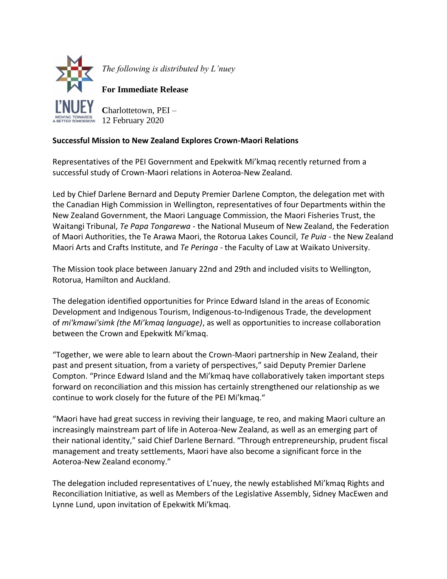

*The following is distributed by L'nuey* 

**For Immediate Release**

**C**harlottetown, PEI – RROW 12 February 2020

## **Successful Mission to New Zealand Explores Crown-Maori Relations**

Representatives of the PEI Government and Epekwitk Mi'kmaq recently returned from a successful study of Crown-Maori relations in Aoteroa-New Zealand.

Led by Chief Darlene Bernard and Deputy Premier Darlene Compton, the delegation met with the Canadian High Commission in Wellington, representatives of four Departments within the New Zealand Government, the Maori Language Commission, the Maori Fisheries Trust, the Waitangi Tribunal, *Te Papa Tongarewa* - the National Museum of New Zealand, the Federation of Maori Authorities, the Te Arawa Maori, the Rotorua Lakes Council, *Te Puia* - the New Zealand Maori Arts and Crafts Institute, and *Te Peringa* - the Faculty of Law at Waikato University.

The Mission took place between January 22nd and 29th and included visits to Wellington, Rotorua, Hamilton and Auckland.

The delegation identified opportunities for Prince Edward Island in the areas of Economic Development and Indigenous Tourism, Indigenous-to-Indigenous Trade, the development of *mi'kmawi'simk (the Mi'kmaq language)*, as well as opportunities to increase collaboration between the Crown and Epekwitk Mi'kmaq.

"Together, we were able to learn about the Crown-Maori partnership in New Zealand, their past and present situation, from a variety of perspectives," said Deputy Premier Darlene Compton. "Prince Edward Island and the Mi'kmaq have collaboratively taken important steps forward on reconciliation and this mission has certainly strengthened our relationship as we continue to work closely for the future of the PEI Mi'kmaq."

"Maori have had great success in reviving their language, te reo, and making Maori culture an increasingly mainstream part of life in Aoteroa-New Zealand, as well as an emerging part of their national identity," said Chief Darlene Bernard. "Through entrepreneurship, prudent fiscal management and treaty settlements, Maori have also become a significant force in the Aoteroa-New Zealand economy."

The delegation included representatives of L'nuey, the newly established Mi'kmaq Rights and Reconciliation Initiative, as well as Members of the Legislative Assembly, Sidney MacEwen and Lynne Lund, upon invitation of Epekwitk Mi'kmaq.